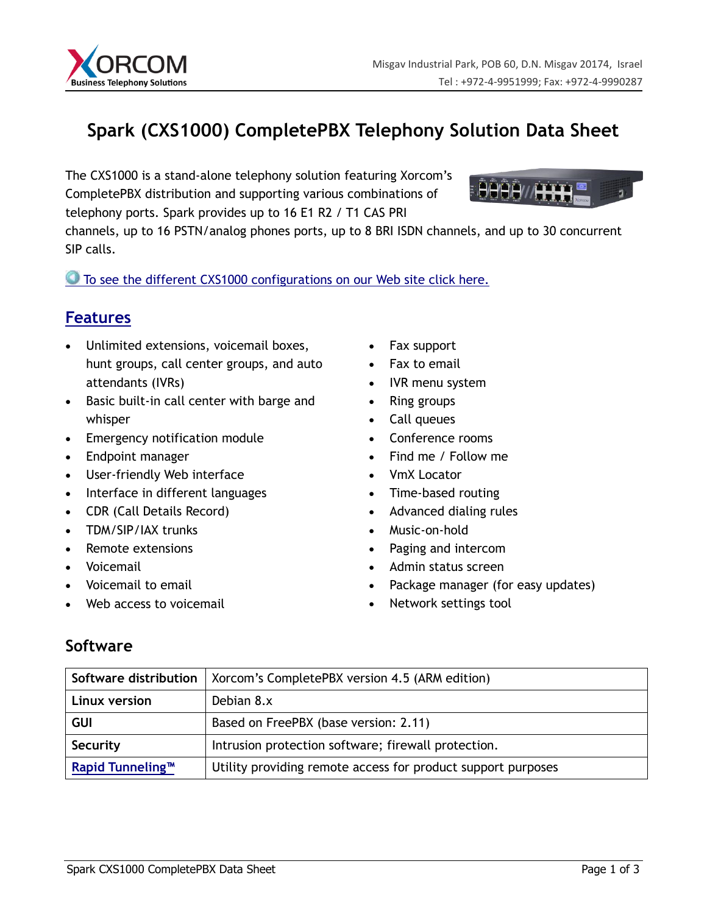

# **Spark (CXS1000) CompletePBX Telephony Solution Data Sheet**

The CXS1000 is a stand-alone telephony solution featuring Xorcom's CompletePBX distribution and supporting various combinations of telephony ports. Spark provides up to 16 E1 R2 / T1 CAS PRI



channels, up to 16 PSTN/analog phones ports, up to 8 BRI ISDN channels, and up to 30 concurrent SIP calls.

To see the different CXS1000 [configurations on our Web site click here.](http://www.xorcom.com/data-sheet-spark#configurations)

## **[Features](http://www.xorcom.com/xorcom-completepbx-standard-features)**

- Unlimited extensions, voicemail boxes, hunt groups, call center groups, and auto attendants (IVRs)
- Basic built-in call center with barge and whisper
- Emergency notification module
- Endpoint manager
- User-friendly Web interface
- Interface in different languages
- CDR (Call Details Record)
- TDM/SIP/IAX trunks
- Remote extensions
- Voicemail
- Voicemail to email
- Web access to voicemail
- Fax support
- Fax to email
- IVR menu system
- Ring groups
- Call queues
- Conference rooms
- Find me / Follow me
- VmX Locator
- Time-based routing
- Advanced dialing rules
- Music-on-hold
- Paging and intercom
- Admin status screen
- Package manager (for easy updates)
- Network settings tool

## **Software**

| Software distribution        | Xorcom's CompletePBX version 4.5 (ARM edition)               |
|------------------------------|--------------------------------------------------------------|
| Linux version                | Debian 8.x                                                   |
| <b>GUI</b>                   | Based on FreePBX (base version: 2.11)                        |
| Security                     | Intrusion protection software; firewall protection.          |
| Rapid Tunneling <sup>™</sup> | Utility providing remote access for product support purposes |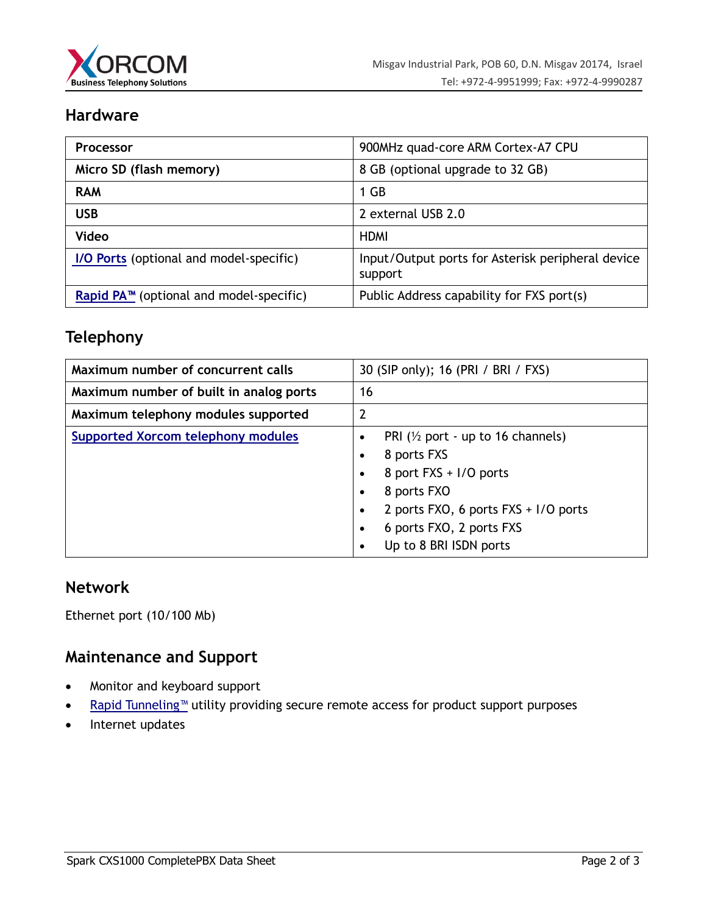

#### **Hardware**

| <b>Processor</b>                                    | 900MHz quad-core ARM Cortex-A7 CPU                           |
|-----------------------------------------------------|--------------------------------------------------------------|
| Micro SD (flash memory)                             | 8 GB (optional upgrade to 32 GB)                             |
| <b>RAM</b>                                          | 1 GB                                                         |
| <b>USB</b>                                          | 2 external USB 2.0                                           |
| <b>Video</b>                                        | <b>HDMI</b>                                                  |
| I/O Ports (optional and model-specific)             | Input/Output ports for Asterisk peripheral device<br>support |
| Rapid PA <sup>™</sup> (optional and model-specific) | Public Address capability for FXS port(s)                    |

#### **Telephony**

| Maximum number of concurrent calls        | 30 (SIP only); 16 (PRI / BRI / FXS)                                                                                                                                                                                                                                                            |
|-------------------------------------------|------------------------------------------------------------------------------------------------------------------------------------------------------------------------------------------------------------------------------------------------------------------------------------------------|
| Maximum number of built in analog ports   | 16                                                                                                                                                                                                                                                                                             |
| Maximum telephony modules supported       | $\overline{2}$                                                                                                                                                                                                                                                                                 |
| <b>Supported Xorcom telephony modules</b> | PRI ( $\frac{1}{2}$ port - up to 16 channels)<br>$\bullet$<br>8 ports FXS<br>$\bullet$<br>8 port FXS + I/O ports<br>$\bullet$<br>8 ports FXO<br>$\bullet$<br>2 ports FXO, 6 ports FXS + I/O ports<br>$\bullet$<br>6 ports FXO, 2 ports FXS<br>$\bullet$<br>Up to 8 BRI ISDN ports<br>$\bullet$ |

#### **Network**

Ethernet port (10/100 Mb)

#### **Maintenance and Support**

- Monitor and keyboard support
- [Rapid Tunneling™](http://www.xorcom.com/rapid-tunneling) utility providing secure remote access for product support purposes
- Internet updates